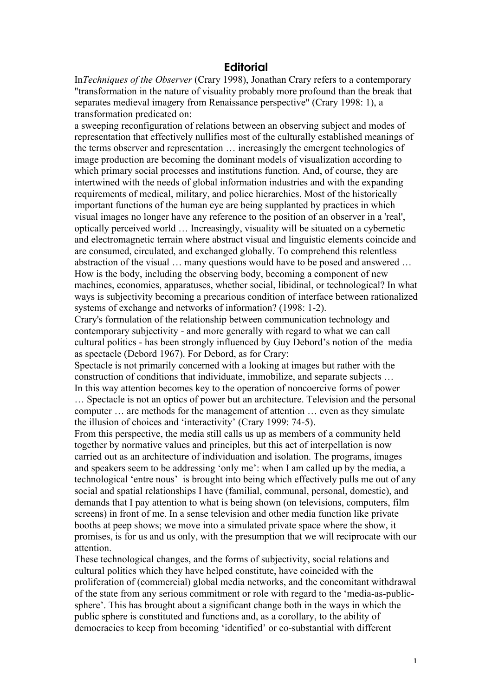## **Editorial**

In*Techniques of the Observer* (Crary 1998), Jonathan Crary refers to a contemporary "transformation in the nature of visuality probably more profound than the break that separates medieval imagery from Renaissance perspective" (Crary 1998: 1), a transformation predicated on:

a sweeping reconfiguration of relations between an observing subject and modes of representation that effectively nullifies most of the culturally established meanings of the terms observer and representation … increasingly the emergent technologies of image production are becoming the dominant models of visualization according to which primary social processes and institutions function. And, of course, they are intertwined with the needs of global information industries and with the expanding requirements of medical, military, and police hierarchies. Most of the historically important functions of the human eye are being supplanted by practices in which visual images no longer have any reference to the position of an observer in a 'real', optically perceived world … Increasingly, visuality will be situated on a cybernetic and electromagnetic terrain where abstract visual and linguistic elements coincide and are consumed, circulated, and exchanged globally. To comprehend this relentless abstraction of the visual … many questions would have to be posed and answered … How is the body, including the observing body, becoming a component of new machines, economies, apparatuses, whether social, libidinal, or technological? In what ways is subjectivity becoming a precarious condition of interface between rationalized systems of exchange and networks of information? (1998: 1-2).

Crary's formulation of the relationship between communication technology and contemporary subjectivity - and more generally with regard to what we can call cultural politics - has been strongly influenced by Guy Debord's notion of the media as spectacle (Debord 1967). For Debord, as for Crary:

Spectacle is not primarily concerned with a looking at images but rather with the construction of conditions that individuate, immobilize, and separate subjects … In this way attention becomes key to the operation of noncoercive forms of power

… Spectacle is not an optics of power but an architecture. Television and the personal computer … are methods for the management of attention … even as they simulate the illusion of choices and 'interactivity' (Crary 1999: 74-5).

From this perspective, the media still calls us up as members of a community held together by normative values and principles, but this act of interpellation is now carried out as an architecture of individuation and isolation. The programs, images and speakers seem to be addressing 'only me': when I am called up by the media, a technological 'entre nous' is brought into being which effectively pulls me out of any social and spatial relationships I have (familial, communal, personal, domestic), and demands that I pay attention to what is being shown (on televisions, computers, film screens) in front of me. In a sense television and other media function like private booths at peep shows; we move into a simulated private space where the show, it promises, is for us and us only, with the presumption that we will reciprocate with our attention.

These technological changes, and the forms of subjectivity, social relations and cultural politics which they have helped constitute, have coincided with the proliferation of (commercial) global media networks, and the concomitant withdrawal of the state from any serious commitment or role with regard to the 'media-as-publicsphere'. This has brought about a significant change both in the ways in which the public sphere is constituted and functions and, as a corollary, to the ability of democracies to keep from becoming 'identified' or co-substantial with different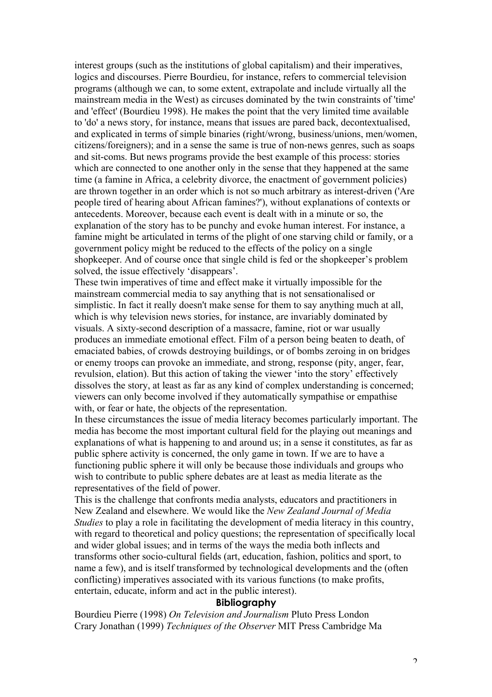interest groups (such as the institutions of global capitalism) and their imperatives, logics and discourses. Pierre Bourdieu, for instance, refers to commercial television programs (although we can, to some extent, extrapolate and include virtually all the mainstream media in the West) as circuses dominated by the twin constraints of 'time' and 'effect' (Bourdieu 1998). He makes the point that the very limited time available to 'do' a news story, for instance, means that issues are pared back, decontextualised, and explicated in terms of simple binaries (right/wrong, business/unions, men/women, citizens/foreigners); and in a sense the same is true of non-news genres, such as soaps and sit-coms. But news programs provide the best example of this process: stories which are connected to one another only in the sense that they happened at the same time (a famine in Africa, a celebrity divorce, the enactment of government policies) are thrown together in an order which is not so much arbitrary as interest-driven ('Are people tired of hearing about African famines?'), without explanations of contexts or antecedents. Moreover, because each event is dealt with in a minute or so, the explanation of the story has to be punchy and evoke human interest. For instance, a famine might be articulated in terms of the plight of one starving child or family, or a government policy might be reduced to the effects of the policy on a single shopkeeper. And of course once that single child is fed or the shopkeeper's problem solved, the issue effectively 'disappears'.

These twin imperatives of time and effect make it virtually impossible for the mainstream commercial media to say anything that is not sensationalised or simplistic. In fact it really doesn't make sense for them to say anything much at all, which is why television news stories, for instance, are invariably dominated by visuals. A sixty-second description of a massacre, famine, riot or war usually produces an immediate emotional effect. Film of a person being beaten to death, of emaciated babies, of crowds destroying buildings, or of bombs zeroing in on bridges or enemy troops can provoke an immediate, and strong, response (pity, anger, fear, revulsion, elation). But this action of taking the viewer 'into the story' effectively dissolves the story, at least as far as any kind of complex understanding is concerned; viewers can only become involved if they automatically sympathise or empathise with, or fear or hate, the objects of the representation.

In these circumstances the issue of media literacy becomes particularly important. The media has become the most important cultural field for the playing out meanings and explanations of what is happening to and around us; in a sense it constitutes, as far as public sphere activity is concerned, the only game in town. If we are to have a functioning public sphere it will only be because those individuals and groups who wish to contribute to public sphere debates are at least as media literate as the representatives of the field of power.

This is the challenge that confronts media analysts, educators and practitioners in New Zealand and elsewhere. We would like the *New Zealand Journal of Media Studies* to play a role in facilitating the development of media literacy in this country, with regard to theoretical and policy questions; the representation of specifically local and wider global issues; and in terms of the ways the media both inflects and transforms other socio-cultural fields (art, education, fashion, politics and sport, to name a few), and is itself transformed by technological developments and the (often conflicting) imperatives associated with its various functions (to make profits, entertain, educate, inform and act in the public interest).

## **Bibliography**

Bourdieu Pierre (1998) *On Television and Journalism* Pluto Press London Crary Jonathan (1999) *Techniques of the Observer* MIT Press Cambridge Ma